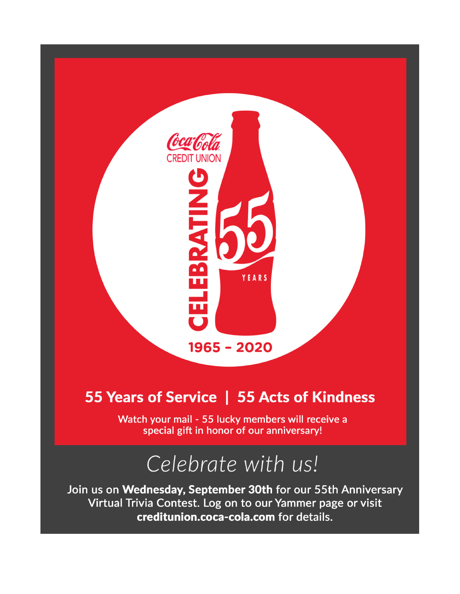

## 55 Years of Service | 55 Acts of Kindness

Watch your mail - 55 lucky members will receive a special gift in honor of our anniversary!

## Celebrate with us!

Join us on Wednesday, September 30th for our 55th Anniversary Virtual Trivia Contest. Log on to our Yammer page or visit creditunion.coca-cola.com for details.